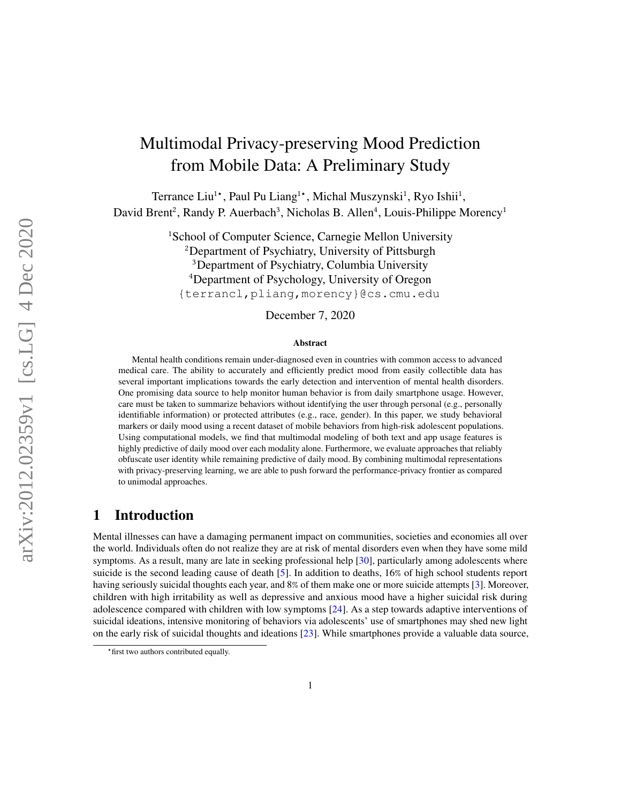# Multimodal Privacy-preserving Mood Prediction from Mobile Data: A Preliminary Study

Terrance Liu<sup>1</sup>\*, Paul Pu Liang<sup>1</sup>\*, Michal Muszynski<sup>1</sup>, Ryo Ishii<sup>1</sup>, David Brent<sup>2</sup>, Randy P. Auerbach<sup>3</sup>, Nicholas B. Allen<sup>4</sup>, Louis-Philippe Morency<sup>1</sup>

> <sup>1</sup>School of Computer Science, Carnegie Mellon University <sup>2</sup>Department of Psychiatry, University of Pittsburgh <sup>3</sup>Department of Psychiatry, Columbia University <sup>4</sup>Department of Psychology, University of Oregon {terrancl,pliang,morency}@cs.cmu.edu

> > December 7, 2020

#### Abstract

Mental health conditions remain under-diagnosed even in countries with common access to advanced medical care. The ability to accurately and efficiently predict mood from easily collectible data has several important implications towards the early detection and intervention of mental health disorders. One promising data source to help monitor human behavior is from daily smartphone usage. However, care must be taken to summarize behaviors without identifying the user through personal (e.g., personally identifiable information) or protected attributes (e.g., race, gender). In this paper, we study behavioral markers or daily mood using a recent dataset of mobile behaviors from high-risk adolescent populations. Using computational models, we find that multimodal modeling of both text and app usage features is highly predictive of daily mood over each modality alone. Furthermore, we evaluate approaches that reliably obfuscate user identity while remaining predictive of daily mood. By combining multimodal representations with privacy-preserving learning, we are able to push forward the performance-privacy frontier as compared to unimodal approaches[.](#page-0-0)

#### 1 Introduction

Mental illnesses can have a damaging permanent impact on communities, societies and economies all over the world. Individuals often do not realize they are at risk of mental disorders even when they have some mild symptoms. As a result, many are late in seeking professional help [\[30\]](#page-9-0), particularly among adolescents where suicide is the second leading cause of death [\[5\]](#page-8-0). In addition to deaths, 16% of high school students report having seriously suicidal thoughts each year, and 8% of them make one or more suicide attempts [\[3\]](#page-7-0). Moreover, children with high irritability as well as depressive and anxious mood have a higher suicidal risk during adolescence compared with children with low symptoms [\[24\]](#page-9-1). As a step towards adaptive interventions of suicidal ideations, intensive monitoring of behaviors via adolescents' use of smartphones may shed new light on the early risk of suicidal thoughts and ideations [\[23\]](#page-9-2). While smartphones provide a valuable data source,

<span id="page-0-0"></span><sup>⋆</sup>first two authors contributed equally.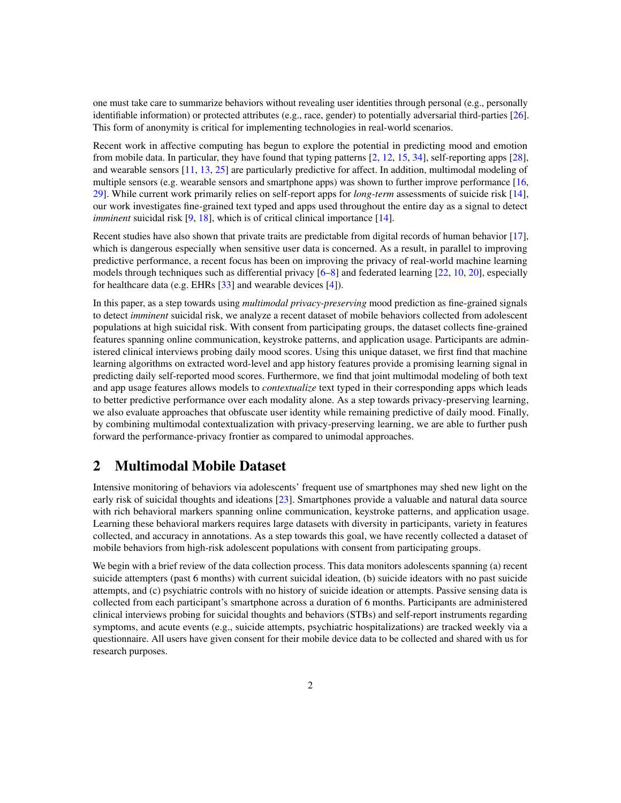one must take care to summarize behaviors without revealing user identities through personal (e.g., personally identifiable information) or protected attributes (e.g., race, gender) to potentially adversarial third-parties [\[26\]](#page-9-3). This form of anonymity is critical for implementing technologies in real-world scenarios.

Recent work in affective computing has begun to explore the potential in predicting mood and emotion from mobile data. In particular, they have found that typing patterns [\[2,](#page-7-1) [12,](#page-8-1) [15,](#page-8-2) [34\]](#page-10-0), self-reporting apps [\[28\]](#page-9-4), and wearable sensors [\[11,](#page-8-3) [13,](#page-8-4) [25\]](#page-9-5) are particularly predictive for affect. In addition, multimodal modeling of multiple sensors (e.g. wearable sensors and smartphone apps) was shown to further improve performance [\[16,](#page-8-5) [29\]](#page-9-6). While current work primarily relies on self-report apps for *long-term* assessments of suicide risk [\[14\]](#page-8-6), our work investigates fine-grained text typed and apps used throughout the entire day as a signal to detect *imminent* suicidal risk [\[9,](#page-8-7) [18\]](#page-8-8), which is of critical clinical importance [\[14\]](#page-8-6).

Recent studies have also shown that private traits are predictable from digital records of human behavior [\[17\]](#page-8-9), which is dangerous especially when sensitive user data is concerned. As a result, in parallel to improving predictive performance, a recent focus has been on improving the privacy of real-world machine learning models through techniques such as differential privacy  $[6–8]$  $[6–8]$  and federated learning  $[22, 10, 20]$  $[22, 10, 20]$  $[22, 10, 20]$  $[22, 10, 20]$  $[22, 10, 20]$ , especially for healthcare data (e.g. EHRs [\[33\]](#page-10-1) and wearable devices [\[4\]](#page-7-2)).

In this paper, as a step towards using *multimodal privacy-preserving* mood prediction as fine-grained signals to detect *imminent* suicidal risk, we analyze a recent dataset of mobile behaviors collected from adolescent populations at high suicidal risk. With consent from participating groups, the dataset collects fine-grained features spanning online communication, keystroke patterns, and application usage. Participants are administered clinical interviews probing daily mood scores. Using this unique dataset, we first find that machine learning algorithms on extracted word-level and app history features provide a promising learning signal in predicting daily self-reported mood scores. Furthermore, we find that joint multimodal modeling of both text and app usage features allows models to *contextualize* text typed in their corresponding apps which leads to better predictive performance over each modality alone. As a step towards privacy-preserving learning, we also evaluate approaches that obfuscate user identity while remaining predictive of daily mood. Finally, by combining multimodal contextualization with privacy-preserving learning, we are able to further push forward the performance-privacy frontier as compared to unimodal approaches.

#### 2 Multimodal Mobile Dataset

Intensive monitoring of behaviors via adolescents' frequent use of smartphones may shed new light on the early risk of suicidal thoughts and ideations [\[23\]](#page-9-2). Smartphones provide a valuable and natural data source with rich behavioral markers spanning online communication, keystroke patterns, and application usage. Learning these behavioral markers requires large datasets with diversity in participants, variety in features collected, and accuracy in annotations. As a step towards this goal, we have recently collected a dataset of mobile behaviors from high-risk adolescent populations with consent from participating groups.

We begin with a brief review of the data collection process. This data monitors adolescents spanning (a) recent suicide attempters (past 6 months) with current suicidal ideation, (b) suicide ideators with no past suicide attempts, and (c) psychiatric controls with no history of suicide ideation or attempts. Passive sensing data is collected from each participant's smartphone across a duration of 6 months. Participants are administered clinical interviews probing for suicidal thoughts and behaviors (STBs) and self-report instruments regarding symptoms, and acute events (e.g., suicide attempts, psychiatric hospitalizations) are tracked weekly via a questionnaire. All users have given consent for their mobile device data to be collected and shared with us for research purposes.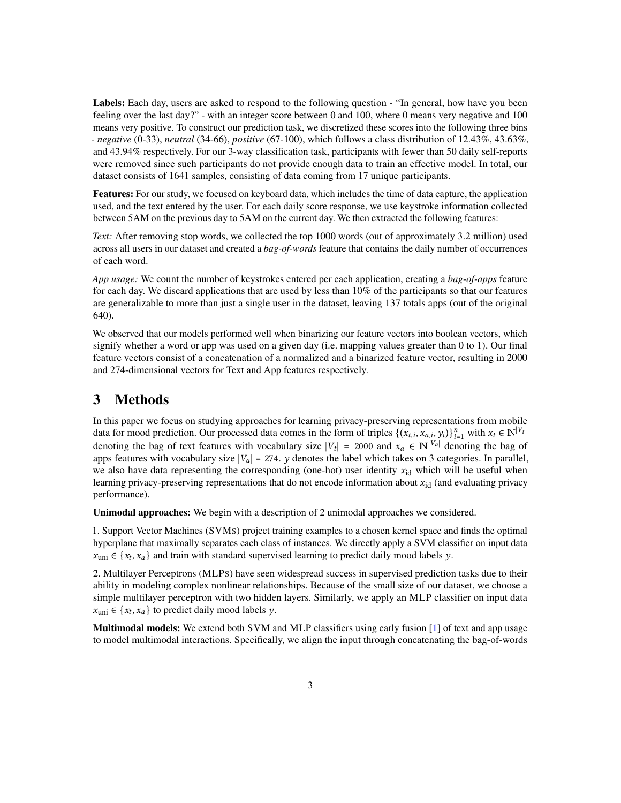Labels: Each day, users are asked to respond to the following question - "In general, how have you been feeling over the last day?" - with an integer score between 0 and 100, where 0 means very negative and 100 means very positive. To construct our prediction task, we discretized these scores into the following three bins - *negative* (0-33), *neutral* (34-66), *positive* (67-100), which follows a class distribution of 12.43%, 43.63%, and 43.94% respectively. For our 3-way classification task, participants with fewer than 50 daily self-reports were removed since such participants do not provide enough data to train an effective model. In total, our dataset consists of 1641 samples, consisting of data coming from 17 unique participants.

Features: For our study, we focused on keyboard data, which includes the time of data capture, the application used, and the text entered by the user. For each daily score response, we use keystroke information collected between 5AM on the previous day to 5AM on the current day. We then extracted the following features:

*Text:* After removing stop words, we collected the top 1000 words (out of approximately 3.2 million) used across all users in our dataset and created a *bag-of-words* feature that contains the daily number of occurrences of each word.

*App usage:* We count the number of keystrokes entered per each application, creating a *bag-of-apps* feature for each day. We discard applications that are used by less than 10% of the participants so that our features are generalizable to more than just a single user in the dataset, leaving 137 totals apps (out of the original 640).

We observed that our models performed well when binarizing our feature vectors into boolean vectors, which signify whether a word or app was used on a given day (i.e. mapping values greater than 0 to 1). Our final feature vectors consist of a concatenation of a normalized and a binarized feature vector, resulting in 2000 and 274-dimensional vectors for Text and App features respectively.

### 3 Methods

In this paper we focus on studying approaches for learning privacy-preserving representations from mobile data for mood prediction. Our processed data comes in the form of triples  $\{(x_{t,i}, x_{a,i}, y_i)\}_{i=1}^n$  with  $x_t \in \mathbb{N}^{|V_t|}$ denoting the bag of text features with vocabulary size  $|V_t| = 2000$  and  $x_a \in \mathbb{N}^{|V_a|}$  denoting the bag of apps features with vocabulary size  $|V_a| = 274$ . y denotes the label which takes on 3 categories. In parallel, we also have data representing the corresponding (one-hot) user identity  $x_{id}$  which will be useful when learning privacy-preserving representations that do not encode information about  $x_{id}$  (and evaluating privacy performance).

Unimodal approaches: We begin with a description of 2 unimodal approaches we considered.

1. Support Vector Machines (SVMS) project training examples to a chosen kernel space and finds the optimal hyperplane that maximally separates each class of instances. We directly apply a SVM classifier on input data  $x_{\text{uni}} \in \{x_t, x_a\}$  and train with standard supervised learning to predict daily mood labels y.

2. Multilayer Perceptrons (MLPS) have seen widespread success in supervised prediction tasks due to their ability in modeling complex nonlinear relationships. Because of the small size of our dataset, we choose a simple multilayer perceptron with two hidden layers. Similarly, we apply an MLP classifier on input data  $x_{\text{uni}} \in \{x_t, x_a\}$  to predict daily mood labels y.

Multimodal models: We extend both SVM and MLP classifiers using early fusion [\[1\]](#page-7-3) of text and app usage to model multimodal interactions. Specifically, we align the input through concatenating the bag-of-words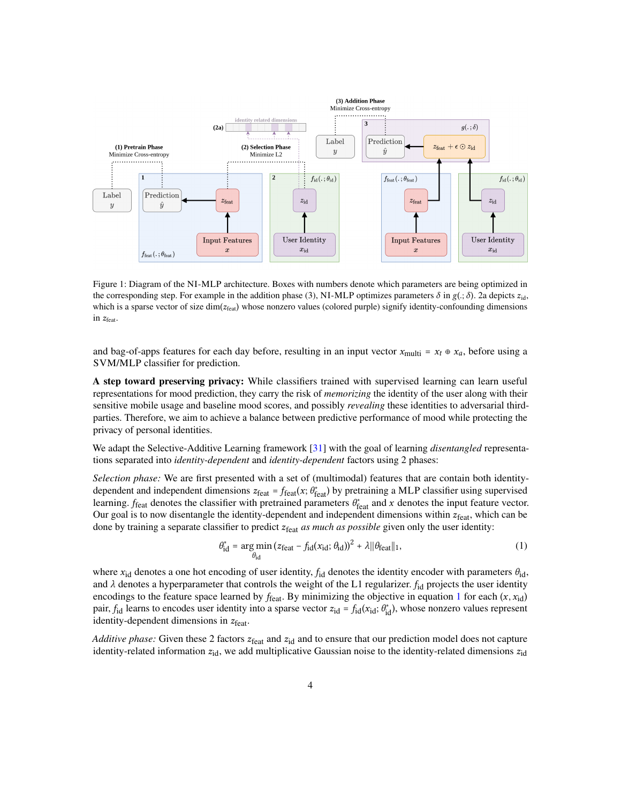

Figure 1: Diagram of the NI-MLP architecture. Boxes with numbers denote which parameters are being optimized in the corresponding step. For example in the addition phase (3), NI-MLP optimizes parameters  $\delta$  in  $g(.)$ ;  $\delta$ ). 2a depicts  $z_{id}$ , which is a sparse vector of size  $dim(z_{feat})$  whose nonzero values (colored purple) signify identity-confounding dimensions in  $z_{\text{feat}}$ .

and bag-of-apps features for each day before, resulting in an input vector  $x_{\text{multi}} = x_t \oplus x_a$ , before using a SVM/MLP classifier for prediction.

A step toward preserving privacy: While classifiers trained with supervised learning can learn useful representations for mood prediction, they carry the risk of *memorizing* the identity of the user along with their sensitive mobile usage and baseline mood scores, and possibly *revealing* these identities to adversarial thirdparties. Therefore, we aim to achieve a balance between predictive performance of mood while protecting the privacy of personal identities.

We adapt the Selective-Additive Learning framework [\[31\]](#page-9-9) with the goal of learning *disentangled* representations separated into *identity-dependent* and *identity-dependent* factors using 2 phases:

*Selection phase:* We are first presented with a set of (multimodal) features that are contain both identitydependent and independent dimensions  $z_{\text{feat}} = f_{\text{feat}}(x; \theta_{\text{feat}}^*)$  by pretraining a MLP classifier using supervised learning.  $f_{\text{feat}}$  denotes the classifier with pretrained parameters  $\theta_{\text{feat}}^*$  and x denotes the input feature vector. Our goal is to now disentangle the identity-dependent and independent dimensions within  $z_{\text{feat}}$ , which can be done by training a separate classifier to predict  $z_{\text{feat}}$  *as much as possible* given only the user identity:

<span id="page-3-0"></span>
$$
\theta_{\rm id}^* = \underset{\theta_{\rm id}}{\arg \min} \left( z_{\rm feat} - f_{\rm id}(x_{\rm id}; \theta_{\rm id}) \right)^2 + \lambda ||\theta_{\rm feat}||_1,\tag{1}
$$

where  $x_{id}$  denotes a one hot encoding of user identity,  $f_{id}$  denotes the identity encoder with parameters  $\theta_{id}$ , and  $\lambda$  denotes a hyperparameter that controls the weight of the L1 regularizer.  $f_{id}$  projects the user identity encodings to the feature space learned by  $f_{\text{feat}}$ . By minimizing the objective in equation [1](#page-3-0) for each  $(x, x_{id})$ pair,  $f_{\text{id}}$  learns to encodes user identity into a sparse vector  $z_{\text{id}} = f_{\text{id}}(x_{\text{id}}; \theta_{\text{id}}^*)$ , whose nonzero values represent identity-dependent dimensions in  $z_{\text{feat}}$ .

*Additive phase:* Given these 2 factors  $z_{\text{feat}}$  and  $z_{\text{id}}$  and to ensure that our prediction model does not capture identity-related information  $z_{id}$ , we add multiplicative Gaussian noise to the identity-related dimensions  $z_{id}$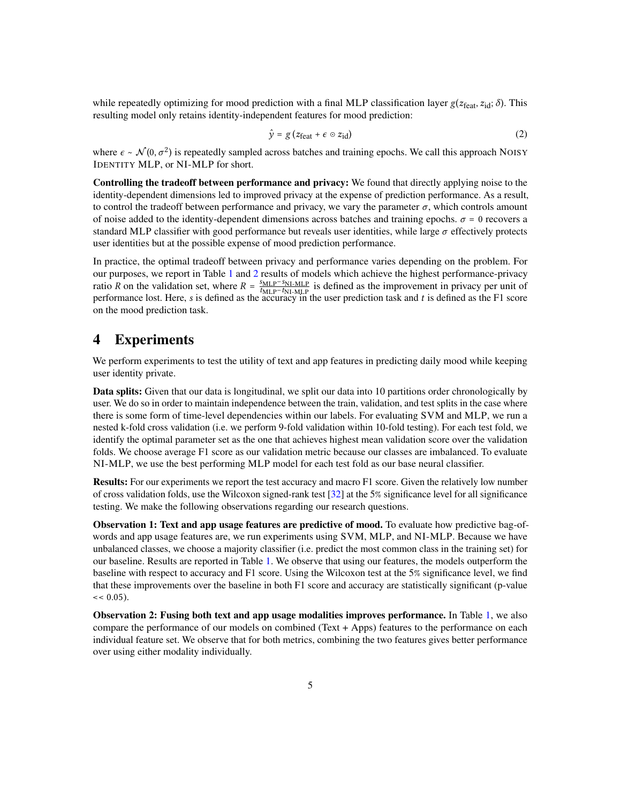while repeatedly optimizing for mood prediction with a final MLP classification layer  $g(z_{\text{feat}}, z_{\text{id}}; \delta)$ . This resulting model only retains identity-independent features for mood prediction:

$$
\hat{y} = g (z_{\text{feat}} + \epsilon \circ z_{\text{id}}) \tag{2}
$$

where  $\epsilon \sim \mathcal{N}(0, \sigma^2)$  is repeatedly sampled across batches and training epochs. We call this approach NOISY IDENTITY MLP, or NI-MLP for short.

Controlling the tradeoff between performance and privacy: We found that directly applying noise to the identity-dependent dimensions led to improved privacy at the expense of prediction performance. As a result, to control the tradeoff between performance and privacy, we vary the parameter  $\sigma$ , which controls amount of noise added to the identity-dependent dimensions across batches and training epochs.  $\sigma = 0$  recovers a standard MLP classifier with good performance but reveals user identities, while large  $\sigma$  effectively protects user identities but at the possible expense of mood prediction performance.

In practice, the optimal tradeoff between privacy and performance varies depending on the problem. For our purposes, we report in Table [1](#page-5-0) and [2](#page-6-0) results of models which achieve the highest performance-privacy ratio R on the validation set, where  $R = \frac{SMLP-SNIMP}{N+N+MLP}$  $\frac{MLP-SNLMLP}{MLP-t_{N1-MLP}}$  is defined as the improvement in privacy per unit of performance lost. Here, s is defined as the accuracy in the user prediction task and  $t$  is defined as the F1 score on the mood prediction task.

#### 4 Experiments

We perform experiments to test the utility of text and app features in predicting daily mood while keeping user identity private.

Data splits: Given that our data is longitudinal, we split our data into 10 partitions order chronologically by user. We do so in order to maintain independence between the train, validation, and test splits in the case where there is some form of time-level dependencies within our labels. For evaluating SVM and MLP, we run a nested k-fold cross validation (i.e. we perform 9-fold validation within 10-fold testing). For each test fold, we identify the optimal parameter set as the one that achieves highest mean validation score over the validation folds. We choose average F1 score as our validation metric because our classes are imbalanced. To evaluate NI-MLP, we use the best performing MLP model for each test fold as our base neural classifier.

Results: For our experiments we report the test accuracy and macro F1 score. Given the relatively low number of cross validation folds, use the Wilcoxon signed-rank test [\[32\]](#page-9-10) at the 5% significance level for all significance testing. We make the following observations regarding our research questions.

Observation 1: Text and app usage features are predictive of mood. To evaluate how predictive bag-ofwords and app usage features are, we run experiments using SVM, MLP, and NI-MLP. Because we have unbalanced classes, we choose a majority classifier (i.e. predict the most common class in the training set) for our baseline. Results are reported in Table [1.](#page-5-0) We observe that using our features, the models outperform the baseline with respect to accuracy and F1 score. Using the Wilcoxon test at the 5% significance level, we find that these improvements over the baseline in both F1 score and accuracy are statistically significant (p-value  $<< 0.05$ ).

Observation 2: Fusing both text and app usage modalities improves performance. In Table [1,](#page-5-0) we also compare the performance of our models on combined (Text + Apps) features to the performance on each individual feature set. We observe that for both metrics, combining the two features gives better performance over using either modality individually.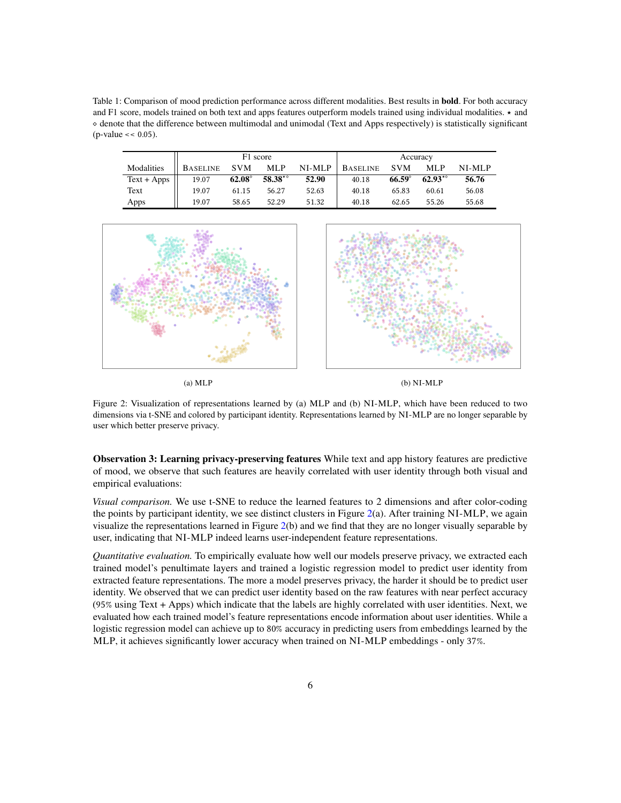<span id="page-5-0"></span>Table 1: Comparison of mood prediction performance across different modalities. Best results in **bold**. For both accuracy and F1 score, models trained on both text and apps features outperform models trained using individual modalities.  $\star$  and ⋄ denote that the difference between multimodal and unimodal (Text and Apps respectively) is statistically significant  $(p-value \ll 0.05)$ .

|               | F1 score        |               |           |        | Accuracy        |                 |           |        |
|---------------|-----------------|---------------|-----------|--------|-----------------|-----------------|-----------|--------|
| Modalities    | <b>BASELINE</b> | <b>SVM</b>    | MLP       | NI-MLP | <b>BASELINE</b> | <b>SVM</b>      | MLP       | NI-MLP |
| $Text + Apps$ | 19.07           | $62.08^\circ$ | $58.38**$ | 52.90  | 40.18           | $66.59^{\circ}$ | $62.93**$ | 56.76  |
| Text          | 19.07           | 61.15         | 56.27     | 52.63  | 40.18           | 65.83           | 60.61     | 56.08  |
| Apps          | 19.07           | 58.65         | 52.29     | 51.32  | 40.18           | 62.65           | 55.26     | 55.68  |

<span id="page-5-1"></span>

(a)  $MLP$  (b)  $NI-MLP$ 

Figure 2: Visualization of representations learned by (a) MLP and (b) NI-MLP, which have been reduced to two dimensions via t-SNE and colored by participant identity. Representations learned by NI-MLP are no longer separable by user which better preserve privacy.

Observation 3: Learning privacy-preserving features While text and app history features are predictive of mood, we observe that such features are heavily correlated with user identity through both visual and empirical evaluations:

*Visual comparison.* We use t-SNE to reduce the learned features to 2 dimensions and after color-coding the points by participant identity, we see distinct clusters in Figure [2\(](#page-5-1)a). After training NI-MLP, we again visualize the representations learned in Figure [2\(](#page-5-1)b) and we find that they are no longer visually separable by user, indicating that NI-MLP indeed learns user-independent feature representations.

*Quantitative evaluation.* To empirically evaluate how well our models preserve privacy, we extracted each trained model's penultimate layers and trained a logistic regression model to predict user identity from extracted feature representations. The more a model preserves privacy, the harder it should be to predict user identity. We observed that we can predict user identity based on the raw features with near perfect accuracy (95% using Text + Apps) which indicate that the labels are highly correlated with user identities. Next, we evaluated how each trained model's feature representations encode information about user identities. While a logistic regression model can achieve up to 80% accuracy in predicting users from embeddings learned by the MLP, it achieves significantly lower accuracy when trained on NI-MLP embeddings - only 37%.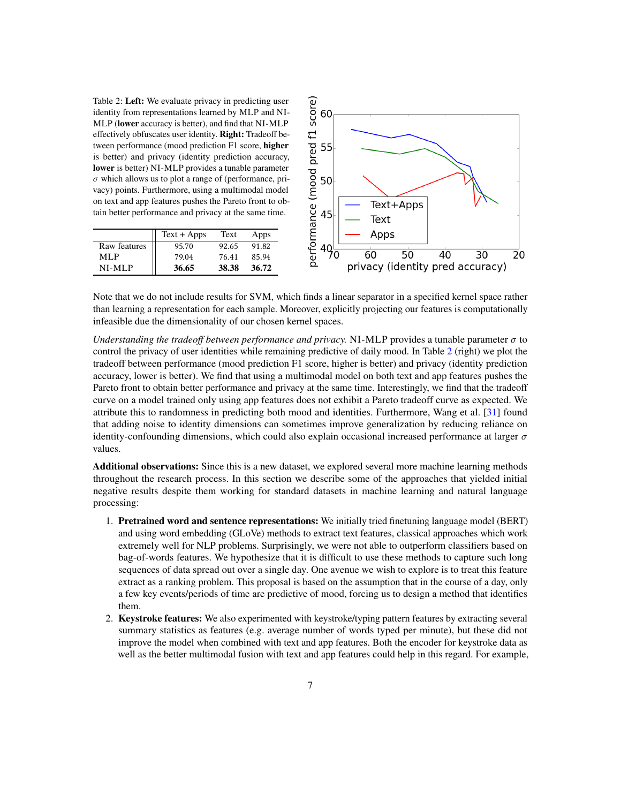<span id="page-6-0"></span>Table 2: Left: We evaluate privacy in predicting user identity from representations learned by MLP and NI-MLP (lower accuracy is better), and find that NI-MLP effectively obfuscates user identity. Right: Tradeoff between performance (mood prediction F1 score, higher is better) and privacy (identity prediction accuracy, lower is better) NI-MLP provides a tunable parameter  $\sigma$  which allows us to plot a range of (performance, privacy) points. Furthermore, using a multimodal model on text and app features pushes the Pareto front to obtain better performance and privacy at the same time.

|              | $Text + Apps$ | Text  | Apps  |
|--------------|---------------|-------|-------|
| Raw features | 95.70         | 92.65 | 91.82 |
| ML P         | 79.04         | 76.41 | 85.94 |
| NI-MLP       | 36.65         | 38.38 | 36.72 |



Note that we do not include results for SVM, which finds a linear separator in a specified kernel space rather than learning a representation for each sample. Moreover, explicitly projecting our features is computationally infeasible due the dimensionality of our chosen kernel spaces.

*Understanding the tradeoff between performance and privacy.* NI-MLP provides a tunable parameter  $\sigma$  to control the privacy of user identities while remaining predictive of daily mood. In Table [2](#page-6-0) (right) we plot the tradeoff between performance (mood prediction F1 score, higher is better) and privacy (identity prediction accuracy, lower is better). We find that using a multimodal model on both text and app features pushes the Pareto front to obtain better performance and privacy at the same time. Interestingly, we find that the tradeoff curve on a model trained only using app features does not exhibit a Pareto tradeoff curve as expected. We attribute this to randomness in predicting both mood and identities. Furthermore, Wang et al. [\[31\]](#page-9-9) found that adding noise to identity dimensions can sometimes improve generalization by reducing reliance on identity-confounding dimensions, which could also explain occasional increased performance at larger  $\sigma$ values.

Additional observations: Since this is a new dataset, we explored several more machine learning methods throughout the research process. In this section we describe some of the approaches that yielded initial negative results despite them working for standard datasets in machine learning and natural language processing:

- 1. Pretrained word and sentence representations: We initially tried finetuning language model (BERT) and using word embedding (GLoVe) methods to extract text features, classical approaches which work extremely well for NLP problems. Surprisingly, we were not able to outperform classifiers based on bag-of-words features. We hypothesize that it is difficult to use these methods to capture such long sequences of data spread out over a single day. One avenue we wish to explore is to treat this feature extract as a ranking problem. This proposal is based on the assumption that in the course of a day, only a few key events/periods of time are predictive of mood, forcing us to design a method that identifies them.
- 2. Keystroke features: We also experimented with keystroke/typing pattern features by extracting several summary statistics as features (e.g. average number of words typed per minute), but these did not improve the model when combined with text and app features. Both the encoder for keystroke data as well as the better multimodal fusion with text and app features could help in this regard. For example,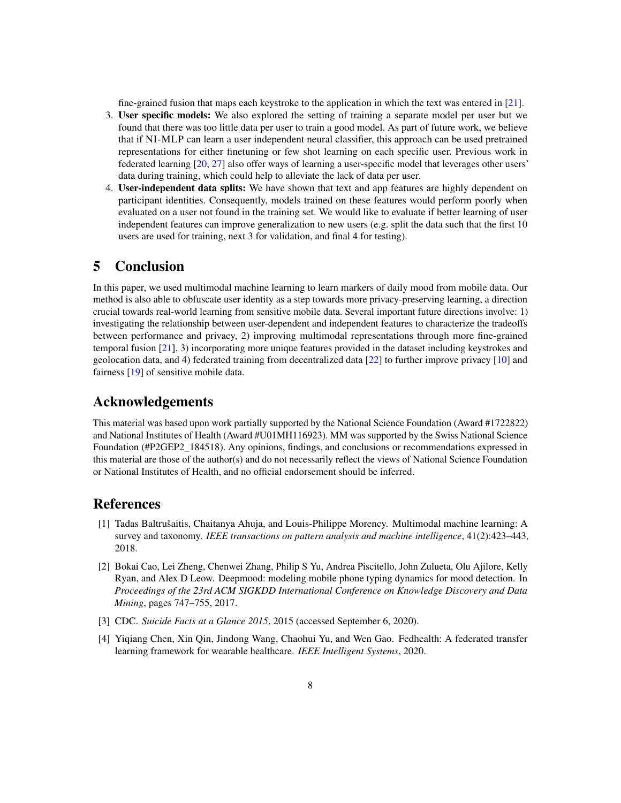fine-grained fusion that maps each keystroke to the application in which the text was entered in [\[21\]](#page-9-11).

- 3. User specific models: We also explored the setting of training a separate model per user but we found that there was too little data per user to train a good model. As part of future work, we believe that if NI-MLP can learn a user independent neural classifier, this approach can be used pretrained representations for either finetuning or few shot learning on each specific user. Previous work in federated learning [\[20,](#page-9-8) [27\]](#page-9-12) also offer ways of learning a user-specific model that leverages other users' data during training, which could help to alleviate the lack of data per user.
- 4. User-independent data splits: We have shown that text and app features are highly dependent on participant identities. Consequently, models trained on these features would perform poorly when evaluated on a user not found in the training set. We would like to evaluate if better learning of user independent features can improve generalization to new users (e.g. split the data such that the first 10 users are used for training, next 3 for validation, and final 4 for testing).

#### 5 Conclusion

In this paper, we used multimodal machine learning to learn markers of daily mood from mobile data. Our method is also able to obfuscate user identity as a step towards more privacy-preserving learning, a direction crucial towards real-world learning from sensitive mobile data. Several important future directions involve: 1) investigating the relationship between user-dependent and independent features to characterize the tradeoffs between performance and privacy, 2) improving multimodal representations through more fine-grained temporal fusion [\[21\]](#page-9-11), 3) incorporating more unique features provided in the dataset including keystrokes and geolocation data, and 4) federated training from decentralized data [\[22\]](#page-9-7) to further improve privacy [\[10\]](#page-8-12) and fairness [\[19\]](#page-9-13) of sensitive mobile data.

#### Acknowledgements

This material was based upon work partially supported by the National Science Foundation (Award #1722822) and National Institutes of Health (Award #U01MH116923). MM was supported by the Swiss National Science Foundation (#P2GEP2\_184518). Any opinions, findings, and conclusions or recommendations expressed in this material are those of the author(s) and do not necessarily reflect the views of National Science Foundation or National Institutes of Health, and no official endorsement should be inferred.

#### **References**

- <span id="page-7-3"></span>[1] Tadas Baltrušaitis, Chaitanya Ahuja, and Louis-Philippe Morency. Multimodal machine learning: A survey and taxonomy. *IEEE transactions on pattern analysis and machine intelligence*, 41(2):423–443, 2018.
- <span id="page-7-1"></span>[2] Bokai Cao, Lei Zheng, Chenwei Zhang, Philip S Yu, Andrea Piscitello, John Zulueta, Olu Ajilore, Kelly Ryan, and Alex D Leow. Deepmood: modeling mobile phone typing dynamics for mood detection. In *Proceedings of the 23rd ACM SIGKDD International Conference on Knowledge Discovery and Data Mining*, pages 747–755, 2017.
- <span id="page-7-0"></span>[3] CDC. *Suicide Facts at a Glance 2015*, 2015 (accessed September 6, 2020).
- <span id="page-7-2"></span>[4] Yiqiang Chen, Xin Qin, Jindong Wang, Chaohui Yu, and Wen Gao. Fedhealth: A federated transfer learning framework for wearable healthcare. *IEEE Intelligent Systems*, 2020.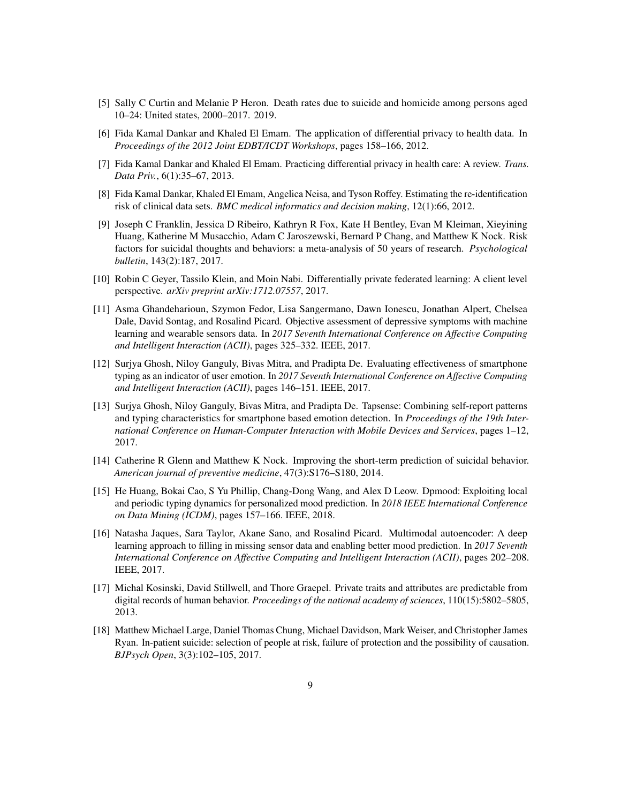- <span id="page-8-0"></span>[5] Sally C Curtin and Melanie P Heron. Death rates due to suicide and homicide among persons aged 10–24: United states, 2000–2017. 2019.
- <span id="page-8-10"></span>[6] Fida Kamal Dankar and Khaled El Emam. The application of differential privacy to health data. In *Proceedings of the 2012 Joint EDBT/ICDT Workshops*, pages 158–166, 2012.
- [7] Fida Kamal Dankar and Khaled El Emam. Practicing differential privacy in health care: A review. *Trans. Data Priv.*, 6(1):35–67, 2013.
- <span id="page-8-11"></span>[8] Fida Kamal Dankar, Khaled El Emam, Angelica Neisa, and Tyson Roffey. Estimating the re-identification risk of clinical data sets. *BMC medical informatics and decision making*, 12(1):66, 2012.
- <span id="page-8-7"></span>[9] Joseph C Franklin, Jessica D Ribeiro, Kathryn R Fox, Kate H Bentley, Evan M Kleiman, Xieyining Huang, Katherine M Musacchio, Adam C Jaroszewski, Bernard P Chang, and Matthew K Nock. Risk factors for suicidal thoughts and behaviors: a meta-analysis of 50 years of research. *Psychological bulletin*, 143(2):187, 2017.
- <span id="page-8-12"></span>[10] Robin C Geyer, Tassilo Klein, and Moin Nabi. Differentially private federated learning: A client level perspective. *arXiv preprint arXiv:1712.07557*, 2017.
- <span id="page-8-3"></span>[11] Asma Ghandeharioun, Szymon Fedor, Lisa Sangermano, Dawn Ionescu, Jonathan Alpert, Chelsea Dale, David Sontag, and Rosalind Picard. Objective assessment of depressive symptoms with machine learning and wearable sensors data. In *2017 Seventh International Conference on Affective Computing and Intelligent Interaction (ACII)*, pages 325–332. IEEE, 2017.
- <span id="page-8-1"></span>[12] Surjya Ghosh, Niloy Ganguly, Bivas Mitra, and Pradipta De. Evaluating effectiveness of smartphone typing as an indicator of user emotion. In *2017 Seventh International Conference on Affective Computing and Intelligent Interaction (ACII)*, pages 146–151. IEEE, 2017.
- <span id="page-8-4"></span>[13] Surjya Ghosh, Niloy Ganguly, Bivas Mitra, and Pradipta De. Tapsense: Combining self-report patterns and typing characteristics for smartphone based emotion detection. In *Proceedings of the 19th International Conference on Human-Computer Interaction with Mobile Devices and Services*, pages 1–12, 2017.
- <span id="page-8-6"></span>[14] Catherine R Glenn and Matthew K Nock. Improving the short-term prediction of suicidal behavior. *American journal of preventive medicine*, 47(3):S176–S180, 2014.
- <span id="page-8-2"></span>[15] He Huang, Bokai Cao, S Yu Phillip, Chang-Dong Wang, and Alex D Leow. Dpmood: Exploiting local and periodic typing dynamics for personalized mood prediction. In *2018 IEEE International Conference on Data Mining (ICDM)*, pages 157–166. IEEE, 2018.
- <span id="page-8-5"></span>[16] Natasha Jaques, Sara Taylor, Akane Sano, and Rosalind Picard. Multimodal autoencoder: A deep learning approach to filling in missing sensor data and enabling better mood prediction. In *2017 Seventh International Conference on Affective Computing and Intelligent Interaction (ACII)*, pages 202–208. IEEE, 2017.
- <span id="page-8-9"></span>[17] Michal Kosinski, David Stillwell, and Thore Graepel. Private traits and attributes are predictable from digital records of human behavior. *Proceedings of the national academy of sciences*, 110(15):5802–5805, 2013.
- <span id="page-8-8"></span>[18] Matthew Michael Large, Daniel Thomas Chung, Michael Davidson, Mark Weiser, and Christopher James Ryan. In-patient suicide: selection of people at risk, failure of protection and the possibility of causation. *BJPsych Open*, 3(3):102–105, 2017.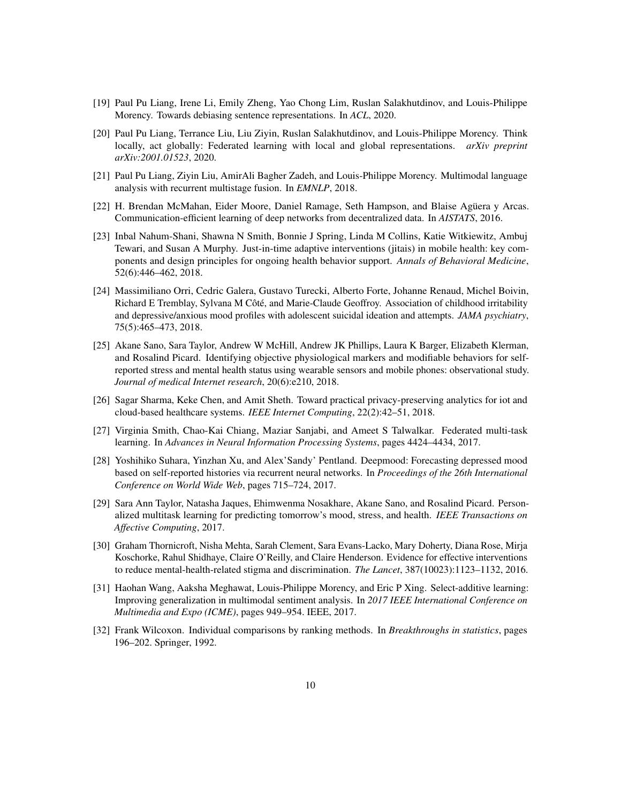- <span id="page-9-13"></span>[19] Paul Pu Liang, Irene Li, Emily Zheng, Yao Chong Lim, Ruslan Salakhutdinov, and Louis-Philippe Morency. Towards debiasing sentence representations. In *ACL*, 2020.
- <span id="page-9-8"></span>[20] Paul Pu Liang, Terrance Liu, Liu Ziyin, Ruslan Salakhutdinov, and Louis-Philippe Morency. Think locally, act globally: Federated learning with local and global representations. *arXiv preprint arXiv:2001.01523*, 2020.
- <span id="page-9-11"></span>[21] Paul Pu Liang, Ziyin Liu, AmirAli Bagher Zadeh, and Louis-Philippe Morency. Multimodal language analysis with recurrent multistage fusion. In *EMNLP*, 2018.
- <span id="page-9-7"></span>[22] H. Brendan McMahan, Eider Moore, Daniel Ramage, Seth Hampson, and Blaise Agüera y Arcas. Communication-efficient learning of deep networks from decentralized data. In *AISTATS*, 2016.
- <span id="page-9-2"></span>[23] Inbal Nahum-Shani, Shawna N Smith, Bonnie J Spring, Linda M Collins, Katie Witkiewitz, Ambuj Tewari, and Susan A Murphy. Just-in-time adaptive interventions (jitais) in mobile health: key components and design principles for ongoing health behavior support. *Annals of Behavioral Medicine*, 52(6):446–462, 2018.
- <span id="page-9-1"></span>[24] Massimiliano Orri, Cedric Galera, Gustavo Turecki, Alberto Forte, Johanne Renaud, Michel Boivin, Richard E Tremblay, Sylvana M Côté, and Marie-Claude Geoffroy. Association of childhood irritability and depressive/anxious mood profiles with adolescent suicidal ideation and attempts. *JAMA psychiatry*, 75(5):465–473, 2018.
- <span id="page-9-5"></span>[25] Akane Sano, Sara Taylor, Andrew W McHill, Andrew JK Phillips, Laura K Barger, Elizabeth Klerman, and Rosalind Picard. Identifying objective physiological markers and modifiable behaviors for selfreported stress and mental health status using wearable sensors and mobile phones: observational study. *Journal of medical Internet research*, 20(6):e210, 2018.
- <span id="page-9-3"></span>[26] Sagar Sharma, Keke Chen, and Amit Sheth. Toward practical privacy-preserving analytics for iot and cloud-based healthcare systems. *IEEE Internet Computing*, 22(2):42–51, 2018.
- <span id="page-9-12"></span>[27] Virginia Smith, Chao-Kai Chiang, Maziar Sanjabi, and Ameet S Talwalkar. Federated multi-task learning. In *Advances in Neural Information Processing Systems*, pages 4424–4434, 2017.
- <span id="page-9-4"></span>[28] Yoshihiko Suhara, Yinzhan Xu, and Alex'Sandy' Pentland. Deepmood: Forecasting depressed mood based on self-reported histories via recurrent neural networks. In *Proceedings of the 26th International Conference on World Wide Web*, pages 715–724, 2017.
- <span id="page-9-6"></span>[29] Sara Ann Taylor, Natasha Jaques, Ehimwenma Nosakhare, Akane Sano, and Rosalind Picard. Personalized multitask learning for predicting tomorrow's mood, stress, and health. *IEEE Transactions on Affective Computing*, 2017.
- <span id="page-9-0"></span>[30] Graham Thornicroft, Nisha Mehta, Sarah Clement, Sara Evans-Lacko, Mary Doherty, Diana Rose, Mirja Koschorke, Rahul Shidhaye, Claire O'Reilly, and Claire Henderson. Evidence for effective interventions to reduce mental-health-related stigma and discrimination. *The Lancet*, 387(10023):1123–1132, 2016.
- <span id="page-9-9"></span>[31] Haohan Wang, Aaksha Meghawat, Louis-Philippe Morency, and Eric P Xing. Select-additive learning: Improving generalization in multimodal sentiment analysis. In *2017 IEEE International Conference on Multimedia and Expo (ICME)*, pages 949–954. IEEE, 2017.
- <span id="page-9-10"></span>[32] Frank Wilcoxon. Individual comparisons by ranking methods. In *Breakthroughs in statistics*, pages 196–202. Springer, 1992.